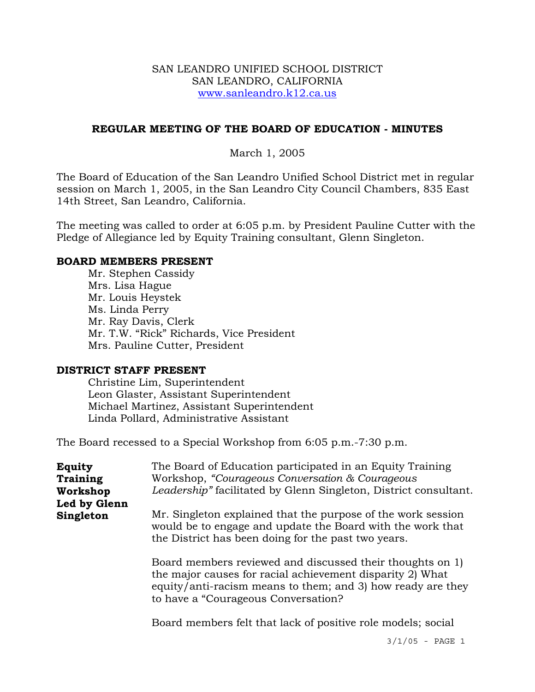#### SAN LEANDRO UNIFIED SCHOOL DISTRICT SAN LEANDRO, CALIFORNIA www.sanleandro.k12.ca.us

## **REGULAR MEETING OF THE BOARD OF EDUCATION - MINUTES**

## March 1, 2005

The Board of Education of the San Leandro Unified School District met in regular session on March 1, 2005, in the San Leandro City Council Chambers, 835 East 14th Street, San Leandro, California.

The meeting was called to order at 6:05 p.m. by President Pauline Cutter with the Pledge of Allegiance led by Equity Training consultant, Glenn Singleton.

### **BOARD MEMBERS PRESENT**

Mr. Stephen Cassidy Mrs. Lisa Hague Mr. Louis Heystek Ms. Linda Perry Mr. Ray Davis, Clerk Mr. T.W. "Rick" Richards, Vice President Mrs. Pauline Cutter, President

## **DISTRICT STAFF PRESENT**

Christine Lim, Superintendent Leon Glaster, Assistant Superintendent Michael Martinez, Assistant Superintendent Linda Pollard, Administrative Assistant

The Board recessed to a Special Workshop from 6:05 p.m.-7:30 p.m.

| <b>Equity</b><br><b>Training</b><br>Workshop | The Board of Education participated in an Equity Training<br>Workshop, "Courageous Conversation & Courageous<br>Leadership" facilitated by Glenn Singleton, District consultant.                                             |
|----------------------------------------------|------------------------------------------------------------------------------------------------------------------------------------------------------------------------------------------------------------------------------|
| Led by Glenn<br>Singleton                    | Mr. Singleton explained that the purpose of the work session<br>would be to engage and update the Board with the work that<br>the District has been doing for the past two years.                                            |
|                                              | Board members reviewed and discussed their thoughts on 1)<br>the major causes for racial achievement disparity 2) What<br>equity/anti-racism means to them; and 3) how ready are they<br>to have a "Courageous Conversation? |
|                                              | Board members felt that lack of positive role models; social                                                                                                                                                                 |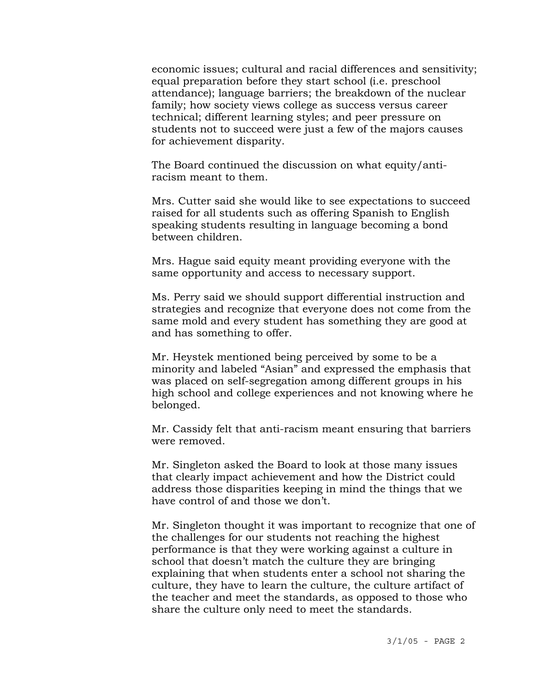economic issues; cultural and racial differences and sensitivity; equal preparation before they start school (i.e. preschool attendance); language barriers; the breakdown of the nuclear family; how society views college as success versus career technical; different learning styles; and peer pressure on students not to succeed were just a few of the majors causes for achievement disparity.

The Board continued the discussion on what equity/antiracism meant to them.

Mrs. Cutter said she would like to see expectations to succeed raised for all students such as offering Spanish to English speaking students resulting in language becoming a bond between children.

Mrs. Hague said equity meant providing everyone with the same opportunity and access to necessary support.

Ms. Perry said we should support differential instruction and strategies and recognize that everyone does not come from the same mold and every student has something they are good at and has something to offer.

Mr. Heystek mentioned being perceived by some to be a minority and labeled "Asian" and expressed the emphasis that was placed on self-segregation among different groups in his high school and college experiences and not knowing where he belonged.

Mr. Cassidy felt that anti-racism meant ensuring that barriers were removed.

Mr. Singleton asked the Board to look at those many issues that clearly impact achievement and how the District could address those disparities keeping in mind the things that we have control of and those we don't.

Mr. Singleton thought it was important to recognize that one of the challenges for our students not reaching the highest performance is that they were working against a culture in school that doesn't match the culture they are bringing explaining that when students enter a school not sharing the culture, they have to learn the culture, the culture artifact of the teacher and meet the standards, as opposed to those who share the culture only need to meet the standards.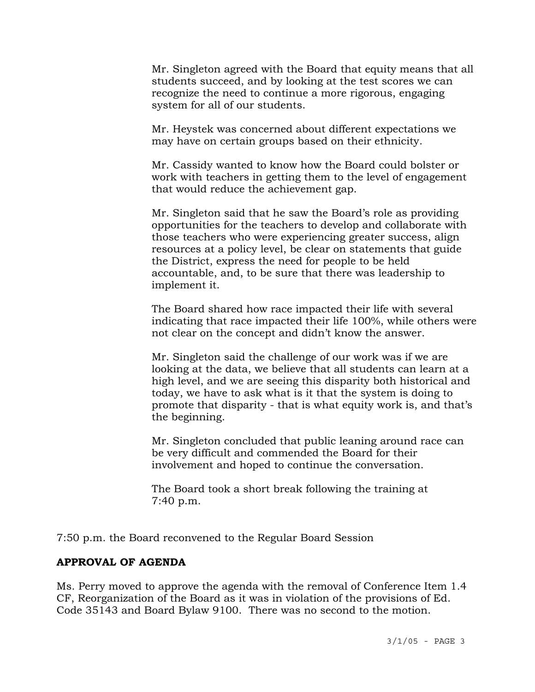Mr. Singleton agreed with the Board that equity means that all students succeed, and by looking at the test scores we can recognize the need to continue a more rigorous, engaging system for all of our students.

Mr. Heystek was concerned about different expectations we may have on certain groups based on their ethnicity.

Mr. Cassidy wanted to know how the Board could bolster or work with teachers in getting them to the level of engagement that would reduce the achievement gap.

Mr. Singleton said that he saw the Board's role as providing opportunities for the teachers to develop and collaborate with those teachers who were experiencing greater success, align resources at a policy level, be clear on statements that guide the District, express the need for people to be held accountable, and, to be sure that there was leadership to implement it.

The Board shared how race impacted their life with several indicating that race impacted their life 100%, while others were not clear on the concept and didn't know the answer.

Mr. Singleton said the challenge of our work was if we are looking at the data, we believe that all students can learn at a high level, and we are seeing this disparity both historical and today, we have to ask what is it that the system is doing to promote that disparity - that is what equity work is, and that's the beginning.

Mr. Singleton concluded that public leaning around race can be very difficult and commended the Board for their involvement and hoped to continue the conversation.

The Board took a short break following the training at 7:40 p.m.

7:50 p.m. the Board reconvened to the Regular Board Session

# **APPROVAL OF AGENDA**

Ms. Perry moved to approve the agenda with the removal of Conference Item 1.4 CF, Reorganization of the Board as it was in violation of the provisions of Ed. Code 35143 and Board Bylaw 9100. There was no second to the motion.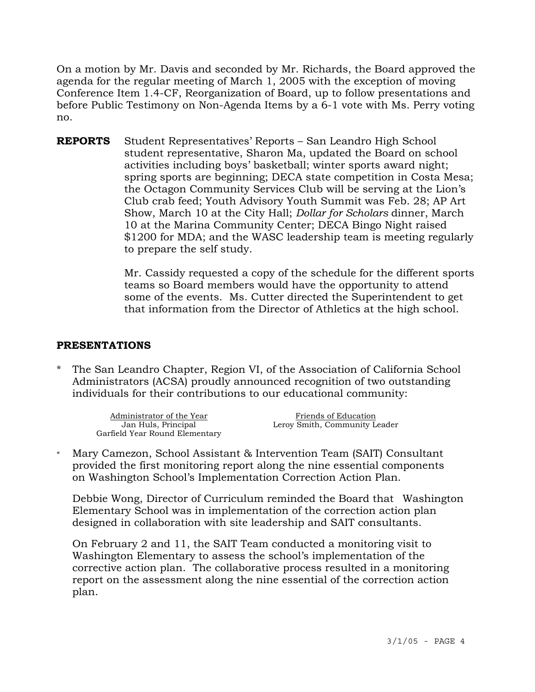On a motion by Mr. Davis and seconded by Mr. Richards, the Board approved the agenda for the regular meeting of March 1, 2005 with the exception of moving Conference Item 1.4-CF, Reorganization of Board, up to follow presentations and before Public Testimony on Non-Agenda Items by a 6-1 vote with Ms. Perry voting no.

**REPORTS** Student Representatives' Reports – San Leandro High School student representative, Sharon Ma, updated the Board on school activities including boys' basketball; winter sports award night; spring sports are beginning; DECA state competition in Costa Mesa; the Octagon Community Services Club will be serving at the Lion's Club crab feed; Youth Advisory Youth Summit was Feb. 28; AP Art Show, March 10 at the City Hall; *Dollar for Scholars* dinner, March 10 at the Marina Community Center; DECA Bingo Night raised \$1200 for MDA; and the WASC leadership team is meeting regularly to prepare the self study.

> Mr. Cassidy requested a copy of the schedule for the different sports teams so Board members would have the opportunity to attend some of the events. Ms. Cutter directed the Superintendent to get that information from the Director of Athletics at the high school.

## **PRESENTATIONS**

The San Leandro Chapter, Region VI, of the Association of California School Administrators (ACSA) proudly announced recognition of two outstanding individuals for their contributions to our educational community:

Administrator of the Year Friends of Education<br>
Jan Huls, Principal<br>
Leroy Smith, Community L Garfield Year Round Elementary

Leroy Smith, Community Leader

\* Mary Camezon, School Assistant & Intervention Team (SAIT) Consultant provided the first monitoring report along the nine essential components on Washington School's Implementation Correction Action Plan.

 Debbie Wong, Director of Curriculum reminded the Board that Washington Elementary School was in implementation of the correction action plan designed in collaboration with site leadership and SAIT consultants.

 On February 2 and 11, the SAIT Team conducted a monitoring visit to Washington Elementary to assess the school's implementation of the corrective action plan. The collaborative process resulted in a monitoring report on the assessment along the nine essential of the correction action plan.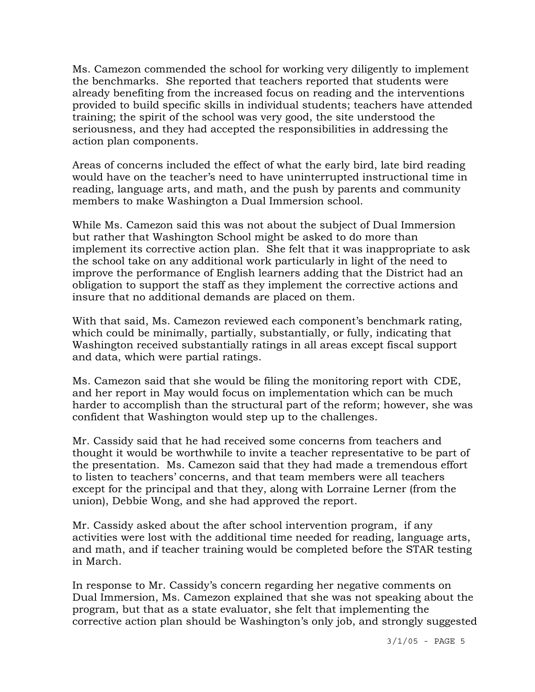Ms. Camezon commended the school for working very diligently to implement the benchmarks. She reported that teachers reported that students were already benefiting from the increased focus on reading and the interventions provided to build specific skills in individual students; teachers have attended training; the spirit of the school was very good, the site understood the seriousness, and they had accepted the responsibilities in addressing the action plan components.

 Areas of concerns included the effect of what the early bird, late bird reading would have on the teacher's need to have uninterrupted instructional time in reading, language arts, and math, and the push by parents and community members to make Washington a Dual Immersion school.

 While Ms. Camezon said this was not about the subject of Dual Immersion but rather that Washington School might be asked to do more than implement its corrective action plan. She felt that it was inappropriate to ask the school take on any additional work particularly in light of the need to improve the performance of English learners adding that the District had an obligation to support the staff as they implement the corrective actions and insure that no additional demands are placed on them.

 With that said, Ms. Camezon reviewed each component's benchmark rating, which could be minimally, partially, substantially, or fully, indicating that Washington received substantially ratings in all areas except fiscal support and data, which were partial ratings.

 Ms. Camezon said that she would be filing the monitoring report with CDE, and her report in May would focus on implementation which can be much harder to accomplish than the structural part of the reform; however, she was confident that Washington would step up to the challenges.

 Mr. Cassidy said that he had received some concerns from teachers and thought it would be worthwhile to invite a teacher representative to be part of the presentation. Ms. Camezon said that they had made a tremendous effort to listen to teachers' concerns, and that team members were all teachers except for the principal and that they, along with Lorraine Lerner (from the union), Debbie Wong, and she had approved the report.

 Mr. Cassidy asked about the after school intervention program, if any activities were lost with the additional time needed for reading, language arts, and math, and if teacher training would be completed before the STAR testing in March.

 In response to Mr. Cassidy's concern regarding her negative comments on Dual Immersion, Ms. Camezon explained that she was not speaking about the program, but that as a state evaluator, she felt that implementing the corrective action plan should be Washington's only job, and strongly suggested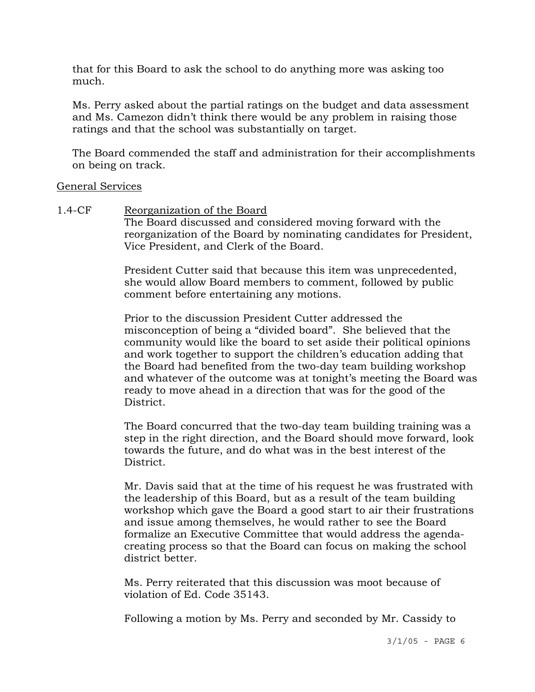that for this Board to ask the school to do anything more was asking too much.

 Ms. Perry asked about the partial ratings on the budget and data assessment and Ms. Camezon didn't think there would be any problem in raising those ratings and that the school was substantially on target.

 The Board commended the staff and administration for their accomplishments on being on track.

### General Services

1.4-CF Reorganization of the Board The Board discussed and considered moving forward with the reorganization of the Board by nominating candidates for President, Vice President, and Clerk of the Board.

> President Cutter said that because this item was unprecedented, she would allow Board members to comment, followed by public comment before entertaining any motions.

Prior to the discussion President Cutter addressed the misconception of being a "divided board". She believed that the community would like the board to set aside their political opinions and work together to support the children's education adding that the Board had benefited from the two-day team building workshop and whatever of the outcome was at tonight's meeting the Board was ready to move ahead in a direction that was for the good of the District.

The Board concurred that the two-day team building training was a step in the right direction, and the Board should move forward, look towards the future, and do what was in the best interest of the District.

Mr. Davis said that at the time of his request he was frustrated with the leadership of this Board, but as a result of the team building workshop which gave the Board a good start to air their frustrations and issue among themselves, he would rather to see the Board formalize an Executive Committee that would address the agendacreating process so that the Board can focus on making the school district better.

Ms. Perry reiterated that this discussion was moot because of violation of Ed. Code 35143.

Following a motion by Ms. Perry and seconded by Mr. Cassidy to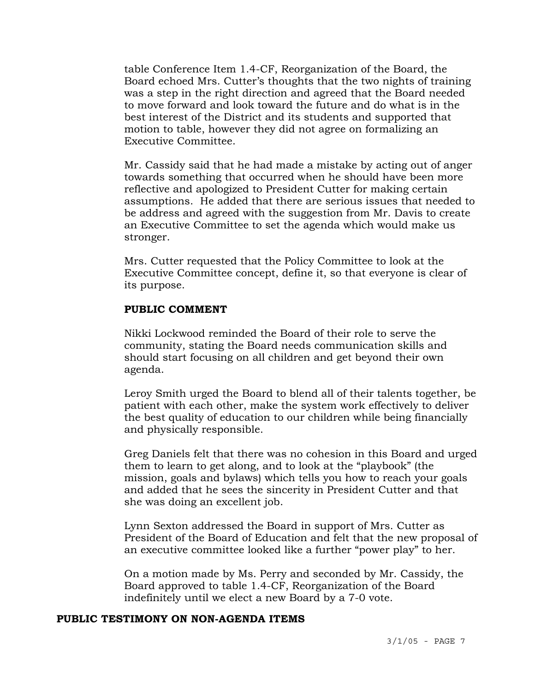table Conference Item 1.4-CF, Reorganization of the Board, the Board echoed Mrs. Cutter's thoughts that the two nights of training was a step in the right direction and agreed that the Board needed to move forward and look toward the future and do what is in the best interest of the District and its students and supported that motion to table, however they did not agree on formalizing an Executive Committee.

Mr. Cassidy said that he had made a mistake by acting out of anger towards something that occurred when he should have been more reflective and apologized to President Cutter for making certain assumptions. He added that there are serious issues that needed to be address and agreed with the suggestion from Mr. Davis to create an Executive Committee to set the agenda which would make us stronger.

Mrs. Cutter requested that the Policy Committee to look at the Executive Committee concept, define it, so that everyone is clear of its purpose.

#### **PUBLIC COMMENT**

Nikki Lockwood reminded the Board of their role to serve the community, stating the Board needs communication skills and should start focusing on all children and get beyond their own agenda.

Leroy Smith urged the Board to blend all of their talents together, be patient with each other, make the system work effectively to deliver the best quality of education to our children while being financially and physically responsible.

Greg Daniels felt that there was no cohesion in this Board and urged them to learn to get along, and to look at the "playbook" (the mission, goals and bylaws) which tells you how to reach your goals and added that he sees the sincerity in President Cutter and that she was doing an excellent job.

Lynn Sexton addressed the Board in support of Mrs. Cutter as President of the Board of Education and felt that the new proposal of an executive committee looked like a further "power play" to her.

On a motion made by Ms. Perry and seconded by Mr. Cassidy, the Board approved to table 1.4-CF, Reorganization of the Board indefinitely until we elect a new Board by a 7-0 vote.

#### **PUBLIC TESTIMONY ON NON-AGENDA ITEMS**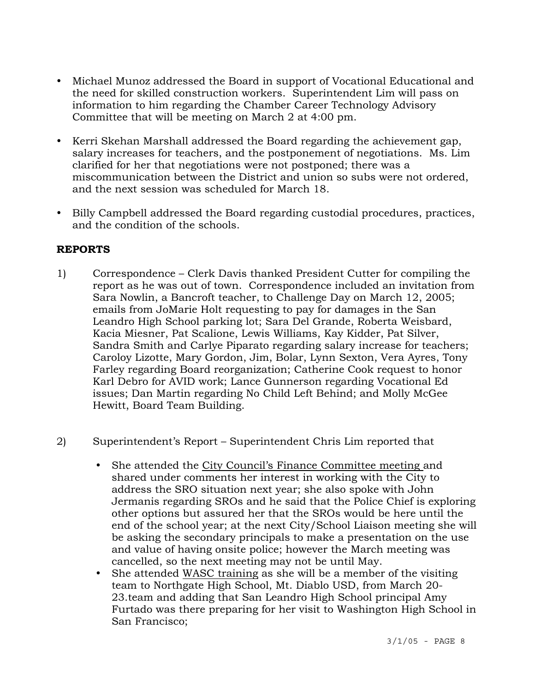- Michael Munoz addressed the Board in support of Vocational Educational and the need for skilled construction workers. Superintendent Lim will pass on information to him regarding the Chamber Career Technology Advisory Committee that will be meeting on March 2 at 4:00 pm.
- Kerri Skehan Marshall addressed the Board regarding the achievement gap, salary increases for teachers, and the postponement of negotiations. Ms. Lim clarified for her that negotiations were not postponed; there was a miscommunication between the District and union so subs were not ordered, and the next session was scheduled for March 18.
- y Billy Campbell addressed the Board regarding custodial procedures, practices, and the condition of the schools.

# **REPORTS**

- 1) Correspondence Clerk Davis thanked President Cutter for compiling the report as he was out of town. Correspondence included an invitation from Sara Nowlin, a Bancroft teacher, to Challenge Day on March 12, 2005; emails from JoMarie Holt requesting to pay for damages in the San Leandro High School parking lot; Sara Del Grande, Roberta Weisbard, Kacia Miesner, Pat Scalione, Lewis Williams, Kay Kidder, Pat Silver, Sandra Smith and Carlye Piparato regarding salary increase for teachers; Caroloy Lizotte, Mary Gordon, Jim, Bolar, Lynn Sexton, Vera Ayres, Tony Farley regarding Board reorganization; Catherine Cook request to honor Karl Debro for AVID work; Lance Gunnerson regarding Vocational Ed issues; Dan Martin regarding No Child Left Behind; and Molly McGee Hewitt, Board Team Building.
- 2) Superintendent's Report Superintendent Chris Lim reported that
	- She attended the City Council's Finance Committee meeting and shared under comments her interest in working with the City to address the SRO situation next year; she also spoke with John Jermanis regarding SROs and he said that the Police Chief is exploring other options but assured her that the SROs would be here until the end of the school year; at the next City/School Liaison meeting she will be asking the secondary principals to make a presentation on the use and value of having onsite police; however the March meeting was cancelled, so the next meeting may not be until May.
	- She attended WASC training as she will be a member of the visiting team to Northgate High School, Mt. Diablo USD, from March 20- 23.team and adding that San Leandro High School principal Amy Furtado was there preparing for her visit to Washington High School in San Francisco;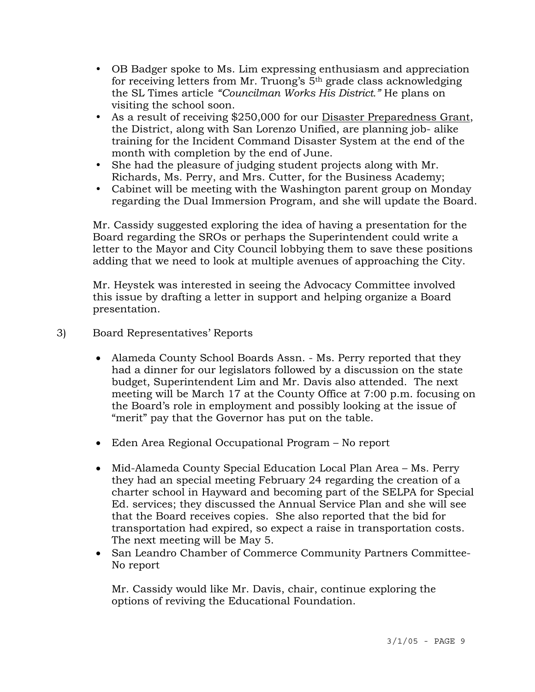- OB Badger spoke to Ms. Lim expressing enthusiasm and appreciation for receiving letters from Mr. Truong's 5th grade class acknowledging the SL Times article *"Councilman Works His District."* He plans on visiting the school soon.
- As a result of receiving \$250,000 for our Disaster Preparedness Grant, the District, along with San Lorenzo Unified, are planning job- alike training for the Incident Command Disaster System at the end of the month with completion by the end of June.
- She had the pleasure of judging student projects along with Mr. Richards, Ms. Perry, and Mrs. Cutter, for the Business Academy;
- Cabinet will be meeting with the Washington parent group on Monday regarding the Dual Immersion Program, and she will update the Board.

Mr. Cassidy suggested exploring the idea of having a presentation for the Board regarding the SROs or perhaps the Superintendent could write a letter to the Mayor and City Council lobbying them to save these positions adding that we need to look at multiple avenues of approaching the City.

Mr. Heystek was interested in seeing the Advocacy Committee involved this issue by drafting a letter in support and helping organize a Board presentation.

- 3) Board Representatives' Reports
	- Alameda County School Boards Assn. Ms. Perry reported that they had a dinner for our legislators followed by a discussion on the state budget, Superintendent Lim and Mr. Davis also attended. The next meeting will be March 17 at the County Office at 7:00 p.m. focusing on the Board's role in employment and possibly looking at the issue of "merit" pay that the Governor has put on the table.
	- Eden Area Regional Occupational Program No report
	- Mid-Alameda County Special Education Local Plan Area Ms. Perry they had an special meeting February 24 regarding the creation of a charter school in Hayward and becoming part of the SELPA for Special Ed. services; they discussed the Annual Service Plan and she will see that the Board receives copies. She also reported that the bid for transportation had expired, so expect a raise in transportation costs. The next meeting will be May 5.
	- San Leandro Chamber of Commerce Community Partners Committee-No report

 Mr. Cassidy would like Mr. Davis, chair, continue exploring the options of reviving the Educational Foundation.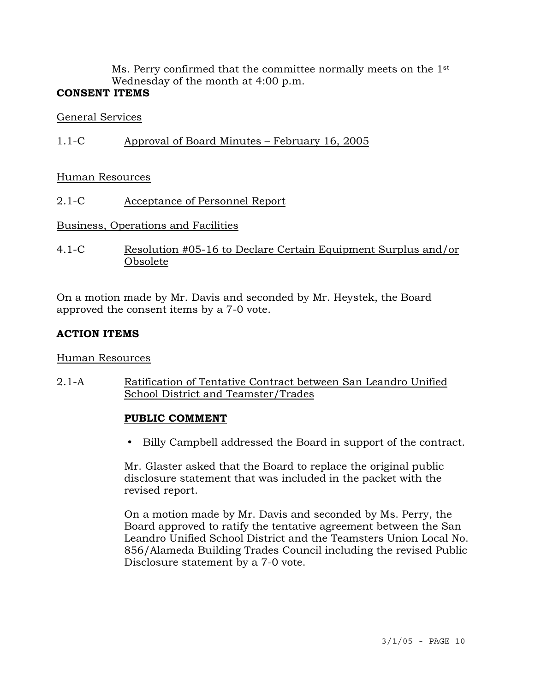Ms. Perry confirmed that the committee normally meets on the  $1<sup>st</sup>$ Wednesday of the month at 4:00 p.m.

## **CONSENT ITEMS**

### General Services

1.1-C Approval of Board Minutes – February 16, 2005

Human Resources

2.1-C Acceptance of Personnel Report

Business, Operations and Facilities

4.1-C Resolution #05-16 to Declare Certain Equipment Surplus and/or Obsolete

On a motion made by Mr. Davis and seconded by Mr. Heystek, the Board approved the consent items by a 7-0 vote.

## **ACTION ITEMS**

Human Resources

2.1-A Ratification of Tentative Contract between San Leandro Unified School District and Teamster/Trades

## **PUBLIC COMMENT**

• Billy Campbell addressed the Board in support of the contract.

Mr. Glaster asked that the Board to replace the original public disclosure statement that was included in the packet with the revised report.

On a motion made by Mr. Davis and seconded by Ms. Perry, the Board approved to ratify the tentative agreement between the San Leandro Unified School District and the Teamsters Union Local No. 856/Alameda Building Trades Council including the revised Public Disclosure statement by a 7-0 vote.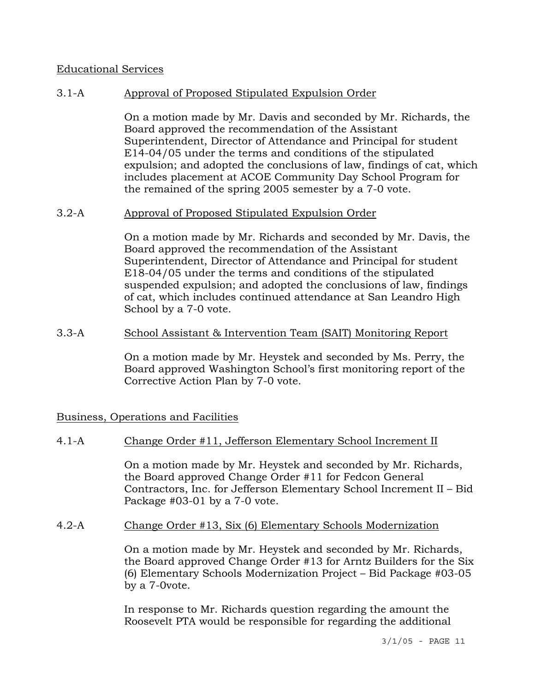### Educational Services

### 3.1-A Approval of Proposed Stipulated Expulsion Order

On a motion made by Mr. Davis and seconded by Mr. Richards, the Board approved the recommendation of the Assistant Superintendent, Director of Attendance and Principal for student E14-04/05 under the terms and conditions of the stipulated expulsion; and adopted the conclusions of law, findings of cat, which includes placement at ACOE Community Day School Program for the remained of the spring 2005 semester by a 7-0 vote.

### 3.2-A Approval of Proposed Stipulated Expulsion Order

On a motion made by Mr. Richards and seconded by Mr. Davis, the Board approved the recommendation of the Assistant Superintendent, Director of Attendance and Principal for student E18-04/05 under the terms and conditions of the stipulated suspended expulsion; and adopted the conclusions of law, findings of cat, which includes continued attendance at San Leandro High School by a 7-0 vote.

### 3.3-A School Assistant & Intervention Team (SAIT) Monitoring Report

On a motion made by Mr. Heystek and seconded by Ms. Perry, the Board approved Washington School's first monitoring report of the Corrective Action Plan by 7-0 vote.

## Business, Operations and Facilities

## 4.1-A Change Order #11, Jefferson Elementary School Increment II

On a motion made by Mr. Heystek and seconded by Mr. Richards, the Board approved Change Order #11 for Fedcon General Contractors, Inc. for Jefferson Elementary School Increment II – Bid Package #03-01 by a 7-0 vote.

#### 4.2-A Change Order #13, Six (6) Elementary Schools Modernization

On a motion made by Mr. Heystek and seconded by Mr. Richards, the Board approved Change Order #13 for Arntz Builders for the Six (6) Elementary Schools Modernization Project – Bid Package #03-05 by a 7-0vote.

In response to Mr. Richards question regarding the amount the Roosevelt PTA would be responsible for regarding the additional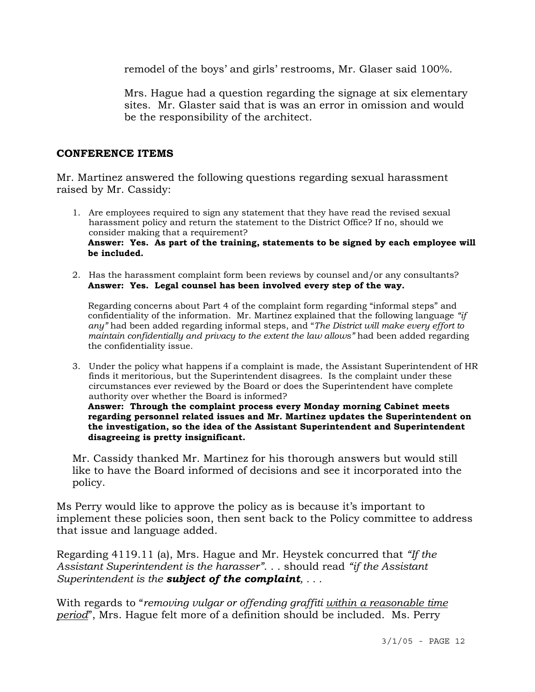remodel of the boys' and girls' restrooms, Mr. Glaser said 100%.

Mrs. Hague had a question regarding the signage at six elementary sites. Mr. Glaster said that is was an error in omission and would be the responsibility of the architect.

### **CONFERENCE ITEMS**

Mr. Martinez answered the following questions regarding sexual harassment raised by Mr. Cassidy:

- 1. Are employees required to sign any statement that they have read the revised sexual harassment policy and return the statement to the District Office? If no, should we consider making that a requirement? **Answer: Yes. As part of the training, statements to be signed by each employee will be included.**
- 2. Has the harassment complaint form been reviews by counsel and/or any consultants? **Answer: Yes. Legal counsel has been involved every step of the way.**

Regarding concerns about Part 4 of the complaint form regarding "informal steps" and confidentiality of the information. Mr. Martinez explained that the following language *"if any"* had been added regarding informal steps, and "*The District will make every effort to maintain confidentially and privacy to the extent the law allows"* had been added regarding the confidentiality issue.

3. Under the policy what happens if a complaint is made, the Assistant Superintendent of HR finds it meritorious, but the Superintendent disagrees. Is the complaint under these circumstances ever reviewed by the Board or does the Superintendent have complete authority over whether the Board is informed?

**Answer: Through the complaint process every Monday morning Cabinet meets regarding personnel related issues and Mr. Martinez updates the Superintendent on the investigation, so the idea of the Assistant Superintendent and Superintendent disagreeing is pretty insignificant.** 

Mr. Cassidy thanked Mr. Martinez for his thorough answers but would still like to have the Board informed of decisions and see it incorporated into the policy.

Ms Perry would like to approve the policy as is because it's important to implement these policies soon, then sent back to the Policy committee to address that issue and language added.

Regarding 4119.11 (a), Mrs. Hague and Mr. Heystek concurred that *"If the Assistant Superintendent is the harasser"*. . . should read *"if the Assistant Superintendent is the subject of the complaint, . . .* 

With regards to "*removing vulgar or offending graffiti within a reasonable time period*", Mrs. Hague felt more of a definition should be included. Ms. Perry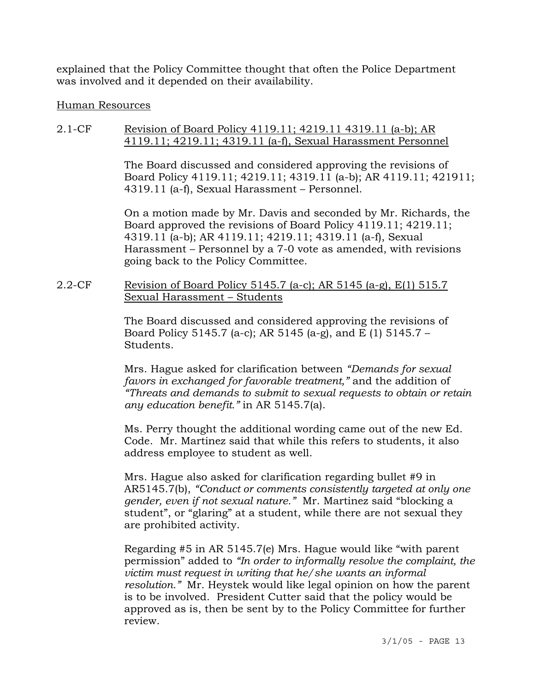explained that the Policy Committee thought that often the Police Department was involved and it depended on their availability.

## Human Resources

## 2.1-CF Revision of Board Policy 4119.11; 4219.11 4319.11 (a-b); AR 4119.11; 4219.11; 4319.11 (a-f), Sexual Harassment Personnel

The Board discussed and considered approving the revisions of Board Policy 4119.11; 4219.11; 4319.11 (a-b); AR 4119.11; 421911; 4319.11 (a-f), Sexual Harassment – Personnel.

On a motion made by Mr. Davis and seconded by Mr. Richards, the Board approved the revisions of Board Policy 4119.11; 4219.11; 4319.11 (a-b); AR 4119.11; 4219.11; 4319.11 (a-f), Sexual Harassment – Personnel by a 7-0 vote as amended, with revisions going back to the Policy Committee.

2.2-CF Revision of Board Policy 5145.7 (a-c); AR 5145 (a-g), E(1) 515.7 Sexual Harassment – Students

> The Board discussed and considered approving the revisions of Board Policy 5145.7 (a-c); AR 5145 (a-g), and E (1) 5145.7 – Students.

Mrs. Hague asked for clarification between *"Demands for sexual favors in exchanged for favorable treatment,"* and the addition of *"Threats and demands to submit to sexual requests to obtain or retain any education benefit."* in AR 5145.7(a).

Ms. Perry thought the additional wording came out of the new Ed. Code. Mr. Martinez said that while this refers to students, it also address employee to student as well.

Mrs. Hague also asked for clarification regarding bullet #9 in AR5145.7(b), *"Conduct or comments consistently targeted at only one gender, even if not sexual nature."* Mr. Martinez said "blocking a student", or "glaring" at a student, while there are not sexual they are prohibited activity.

Regarding #5 in AR 5145.7(e) Mrs. Hague would like "with parent permission" added to *"In order to informally resolve the complaint, the victim must request in writing that he/she wants an informal resolution."* Mr. Heystek would like legal opinion on how the parent is to be involved. President Cutter said that the policy would be approved as is, then be sent by to the Policy Committee for further review.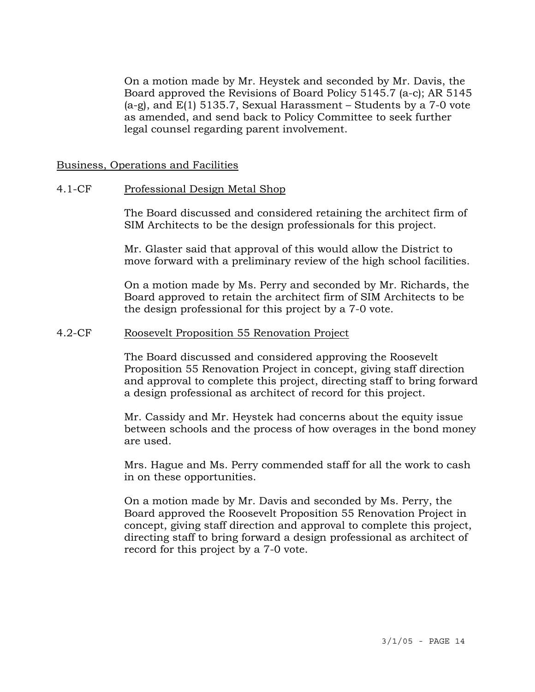On a motion made by Mr. Heystek and seconded by Mr. Davis, the Board approved the Revisions of Board Policy 5145.7 (a-c); AR 5145  $(a-g)$ , and  $E(1)$  5135.7, Sexual Harassment – Students by a 7-0 vote as amended, and send back to Policy Committee to seek further legal counsel regarding parent involvement.

#### Business, Operations and Facilities

#### 4.1-CF Professional Design Metal Shop

The Board discussed and considered retaining the architect firm of SIM Architects to be the design professionals for this project.

Mr. Glaster said that approval of this would allow the District to move forward with a preliminary review of the high school facilities.

On a motion made by Ms. Perry and seconded by Mr. Richards, the Board approved to retain the architect firm of SIM Architects to be the design professional for this project by a 7-0 vote.

#### 4.2-CF Roosevelt Proposition 55 Renovation Project

The Board discussed and considered approving the Roosevelt Proposition 55 Renovation Project in concept, giving staff direction and approval to complete this project, directing staff to bring forward a design professional as architect of record for this project.

Mr. Cassidy and Mr. Heystek had concerns about the equity issue between schools and the process of how overages in the bond money are used.

Mrs. Hague and Ms. Perry commended staff for all the work to cash in on these opportunities.

On a motion made by Mr. Davis and seconded by Ms. Perry, the Board approved the Roosevelt Proposition 55 Renovation Project in concept, giving staff direction and approval to complete this project, directing staff to bring forward a design professional as architect of record for this project by a 7-0 vote.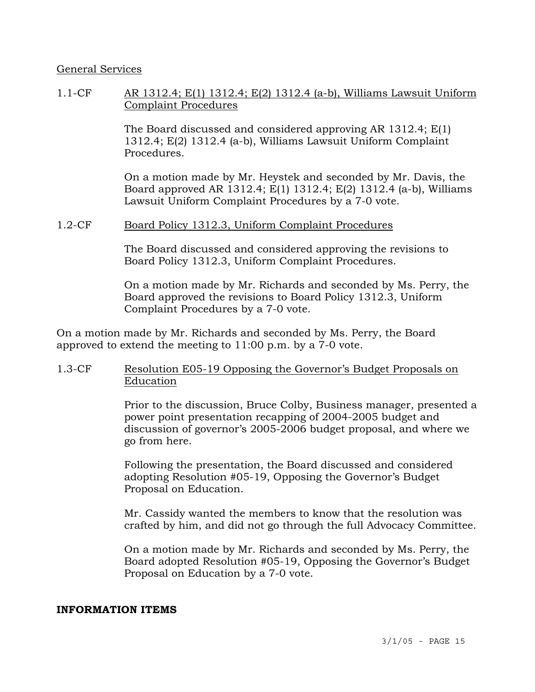### General Services

1.1-CF AR 1312.4; E(1) 1312.4; E(2) 1312.4 (a-b), Williams Lawsuit Uniform Complaint Procedures

> The Board discussed and considered approving AR 1312.4; E(1) 1312.4; E(2) 1312.4 (a-b), Williams Lawsuit Uniform Complaint Procedures.

On a motion made by Mr. Heystek and seconded by Mr. Davis, the Board approved AR 1312.4; E(1) 1312.4; E(2) 1312.4 (a-b), Williams Lawsuit Uniform Complaint Procedures by a 7-0 vote.

#### 1.2-CF Board Policy 1312.3, Uniform Complaint Procedures

The Board discussed and considered approving the revisions to Board Policy 1312.3, Uniform Complaint Procedures.

On a motion made by Mr. Richards and seconded by Ms. Perry, the Board approved the revisions to Board Policy 1312.3, Uniform Complaint Procedures by a 7-0 vote.

On a motion made by Mr. Richards and seconded by Ms. Perry, the Board approved to extend the meeting to 11:00 p.m. by a 7-0 vote.

### 1.3-CF Resolution E05-19 Opposing the Governor's Budget Proposals on Education

Prior to the discussion, Bruce Colby, Business manager, presented a power point presentation recapping of 2004-2005 budget and discussion of governor's 2005-2006 budget proposal, and where we go from here.

Following the presentation, the Board discussed and considered adopting Resolution #05-19, Opposing the Governor's Budget Proposal on Education.

Mr. Cassidy wanted the members to know that the resolution was crafted by him, and did not go through the full Advocacy Committee.

On a motion made by Mr. Richards and seconded by Ms. Perry, the Board adopted Resolution #05-19, Opposing the Governor's Budget Proposal on Education by a 7-0 vote.

#### **INFORMATION ITEMS**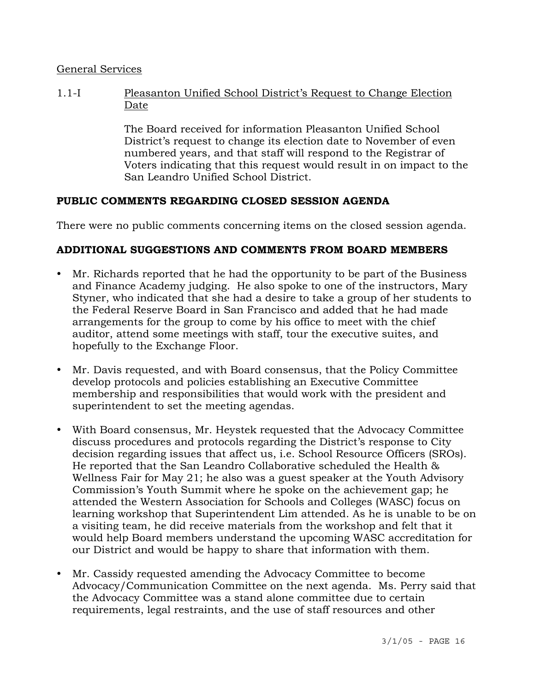## General Services

1.1-I Pleasanton Unified School District's Request to Change Election Date

> The Board received for information Pleasanton Unified School District's request to change its election date to November of even numbered years, and that staff will respond to the Registrar of Voters indicating that this request would result in on impact to the San Leandro Unified School District.

# **PUBLIC COMMENTS REGARDING CLOSED SESSION AGENDA**

There were no public comments concerning items on the closed session agenda.

# **ADDITIONAL SUGGESTIONS AND COMMENTS FROM BOARD MEMBERS**

- Mr. Richards reported that he had the opportunity to be part of the Business and Finance Academy judging. He also spoke to one of the instructors, Mary Styner, who indicated that she had a desire to take a group of her students to the Federal Reserve Board in San Francisco and added that he had made arrangements for the group to come by his office to meet with the chief auditor, attend some meetings with staff, tour the executive suites, and hopefully to the Exchange Floor.
- Mr. Davis requested, and with Board consensus, that the Policy Committee develop protocols and policies establishing an Executive Committee membership and responsibilities that would work with the president and superintendent to set the meeting agendas.
- With Board consensus, Mr. Heystek requested that the Advocacy Committee discuss procedures and protocols regarding the District's response to City decision regarding issues that affect us, i.e. School Resource Officers (SROs). He reported that the San Leandro Collaborative scheduled the Health & Wellness Fair for May 21; he also was a guest speaker at the Youth Advisory Commission's Youth Summit where he spoke on the achievement gap; he attended the Western Association for Schools and Colleges (WASC) focus on learning workshop that Superintendent Lim attended. As he is unable to be on a visiting team, he did receive materials from the workshop and felt that it would help Board members understand the upcoming WASC accreditation for our District and would be happy to share that information with them.
- Mr. Cassidy requested amending the Advocacy Committee to become Advocacy/Communication Committee on the next agenda. Ms. Perry said that the Advocacy Committee was a stand alone committee due to certain requirements, legal restraints, and the use of staff resources and other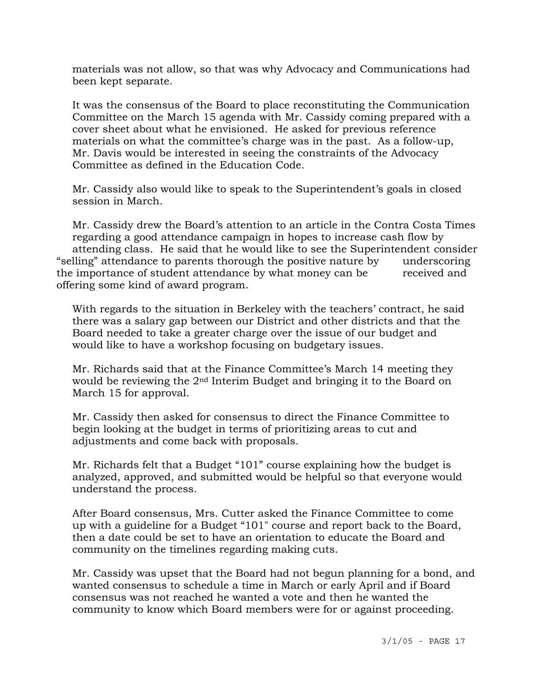materials was not allow, so that was why Advocacy and Communications had been kept separate.

 It was the consensus of the Board to place reconstituting the Communication Committee on the March 15 agenda with Mr. Cassidy coming prepared with a cover sheet about what he envisioned. He asked for previous reference materials on what the committee's charge was in the past. As a follow-up, Mr. Davis would be interested in seeing the constraints of the Advocacy Committee as defined in the Education Code.

 Mr. Cassidy also would like to speak to the Superintendent's goals in closed session in March.

 Mr. Cassidy drew the Board's attention to an article in the Contra Costa Times regarding a good attendance campaign in hopes to increase cash flow by attending class. He said that he would like to see the Superintendent consider "selling" attendance to parents thorough the positive nature by underscoring the importance of student attendance by what money can be received and offering some kind of award program.

 With regards to the situation in Berkeley with the teachers' contract, he said there was a salary gap between our District and other districts and that the Board needed to take a greater charge over the issue of our budget and would like to have a workshop focusing on budgetary issues.

 Mr. Richards said that at the Finance Committee's March 14 meeting they would be reviewing the 2nd Interim Budget and bringing it to the Board on March 15 for approval.

 Mr. Cassidy then asked for consensus to direct the Finance Committee to begin looking at the budget in terms of prioritizing areas to cut and adjustments and come back with proposals.

 Mr. Richards felt that a Budget "101" course explaining how the budget is analyzed, approved, and submitted would be helpful so that everyone would understand the process.

 After Board consensus, Mrs. Cutter asked the Finance Committee to come up with a guideline for a Budget "101" course and report back to the Board, then a date could be set to have an orientation to educate the Board and community on the timelines regarding making cuts.

 Mr. Cassidy was upset that the Board had not begun planning for a bond, and wanted consensus to schedule a time in March or early April and if Board consensus was not reached he wanted a vote and then he wanted the community to know which Board members were for or against proceeding.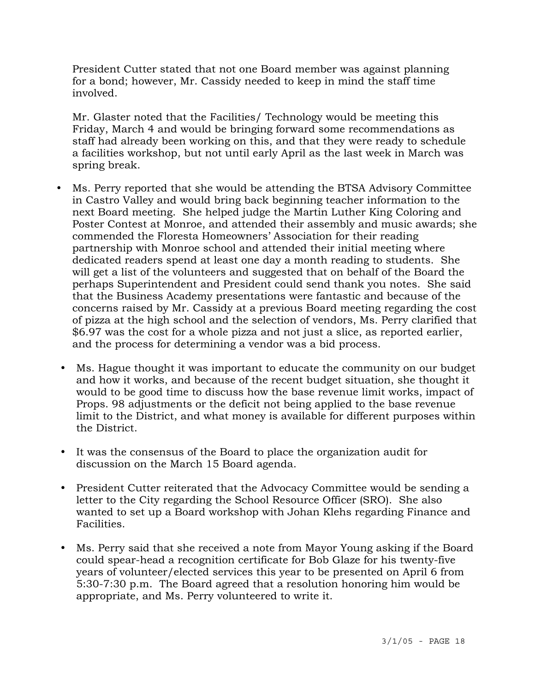President Cutter stated that not one Board member was against planning for a bond; however, Mr. Cassidy needed to keep in mind the staff time involved.

 Mr. Glaster noted that the Facilities/ Technology would be meeting this Friday, March 4 and would be bringing forward some recommendations as staff had already been working on this, and that they were ready to schedule a facilities workshop, but not until early April as the last week in March was spring break.

- y Ms. Perry reported that she would be attending the BTSA Advisory Committee in Castro Valley and would bring back beginning teacher information to the next Board meeting. She helped judge the Martin Luther King Coloring and Poster Contest at Monroe, and attended their assembly and music awards; she commended the Floresta Homeowners' Association for their reading partnership with Monroe school and attended their initial meeting where dedicated readers spend at least one day a month reading to students. She will get a list of the volunteers and suggested that on behalf of the Board the perhaps Superintendent and President could send thank you notes. She said that the Business Academy presentations were fantastic and because of the concerns raised by Mr. Cassidy at a previous Board meeting regarding the cost of pizza at the high school and the selection of vendors, Ms. Perry clarified that \$6.97 was the cost for a whole pizza and not just a slice, as reported earlier, and the process for determining a vendor was a bid process.
- Ms. Hague thought it was important to educate the community on our budget and how it works, and because of the recent budget situation, she thought it would to be good time to discuss how the base revenue limit works, impact of Props. 98 adjustments or the deficit not being applied to the base revenue limit to the District, and what money is available for different purposes within the District.
- y It was the consensus of the Board to place the organization audit for discussion on the March 15 Board agenda.
- President Cutter reiterated that the Advocacy Committee would be sending a letter to the City regarding the School Resource Officer (SRO). She also wanted to set up a Board workshop with Johan Klehs regarding Finance and Facilities.
- Ms. Perry said that she received a note from Mayor Young asking if the Board could spear-head a recognition certificate for Bob Glaze for his twenty-five years of volunteer/elected services this year to be presented on April 6 from 5:30-7:30 p.m. The Board agreed that a resolution honoring him would be appropriate, and Ms. Perry volunteered to write it.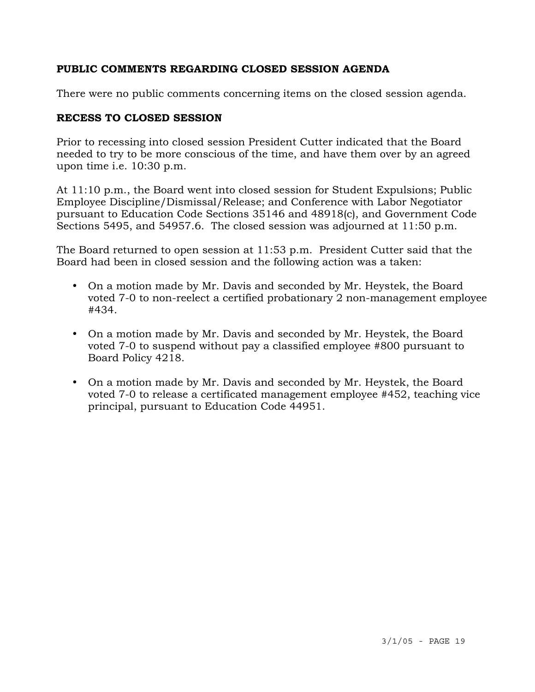## **PUBLIC COMMENTS REGARDING CLOSED SESSION AGENDA**

There were no public comments concerning items on the closed session agenda.

## **RECESS TO CLOSED SESSION**

Prior to recessing into closed session President Cutter indicated that the Board needed to try to be more conscious of the time, and have them over by an agreed upon time i.e. 10:30 p.m.

At 11:10 p.m., the Board went into closed session for Student Expulsions; Public Employee Discipline/Dismissal/Release; and Conference with Labor Negotiator pursuant to Education Code Sections 35146 and 48918(c), and Government Code Sections 5495, and 54957.6. The closed session was adjourned at 11:50 p.m.

The Board returned to open session at 11:53 p.m. President Cutter said that the Board had been in closed session and the following action was a taken:

- On a motion made by Mr. Davis and seconded by Mr. Heystek, the Board voted 7-0 to non-reelect a certified probationary 2 non-management employee #434.
- On a motion made by Mr. Davis and seconded by Mr. Heystek, the Board voted 7-0 to suspend without pay a classified employee #800 pursuant to Board Policy 4218.
- On a motion made by Mr. Davis and seconded by Mr. Heystek, the Board voted 7-0 to release a certificated management employee #452, teaching vice principal, pursuant to Education Code 44951.